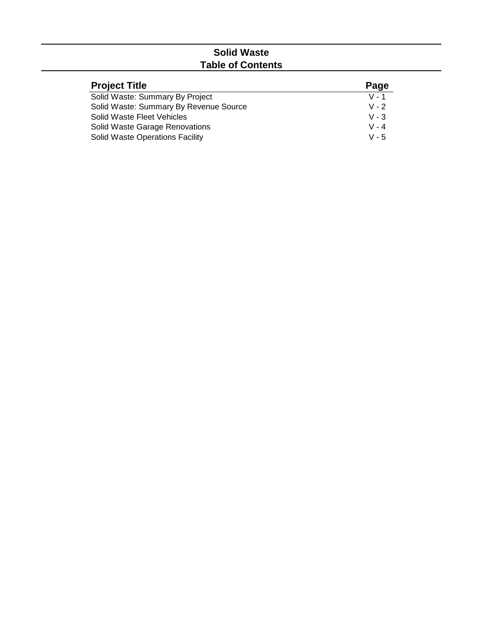# **Solid Waste Table of Contents**

| <b>Project Title</b>                   | Page    |
|----------------------------------------|---------|
| Solid Waste: Summary By Project        | $V - 1$ |
| Solid Waste: Summary By Revenue Source | $V - 2$ |
| Solid Waste Fleet Vehicles             | $V - 3$ |
| Solid Waste Garage Renovations         | $V - 4$ |
| <b>Solid Waste Operations Facility</b> | $V - 5$ |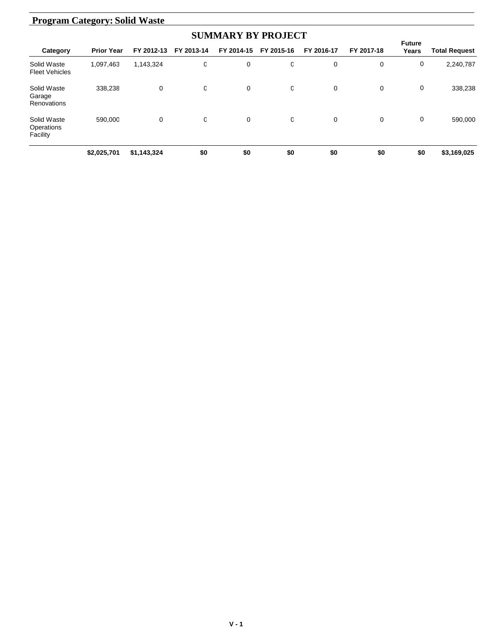# **Program Category: Solid Waste**

| <b>SUMMARY BY PROJECT</b>             |                   |             |            |            |            |            |             |                        |                      |  |  |
|---------------------------------------|-------------------|-------------|------------|------------|------------|------------|-------------|------------------------|----------------------|--|--|
| Category                              | <b>Prior Year</b> | FY 2012-13  | FY 2013-14 | FY 2014-15 | FY 2015-16 | FY 2016-17 | FY 2017-18  | <b>Future</b><br>Years | <b>Total Request</b> |  |  |
| Solid Waste<br><b>Fleet Vehicles</b>  | 1,097,463         | 1,143,324   | 0          | 0          | 0          | 0          | 0           | 0                      | 2,240,787            |  |  |
| Solid Waste<br>Garage<br>Renovations  | 338,238           | 0           | O          | 0          | 0          | 0          | $\mathbf 0$ | 0                      | 338,238              |  |  |
| Solid Waste<br>Operations<br>Facility | 590,000           | 0           | O          | 0          | 0          | 0          | $\mathbf 0$ | 0                      | 590,000              |  |  |
|                                       | \$2,025,701       | \$1,143,324 | \$0        | \$0        | \$0        | \$0        | \$0         | \$0                    | \$3,169,025          |  |  |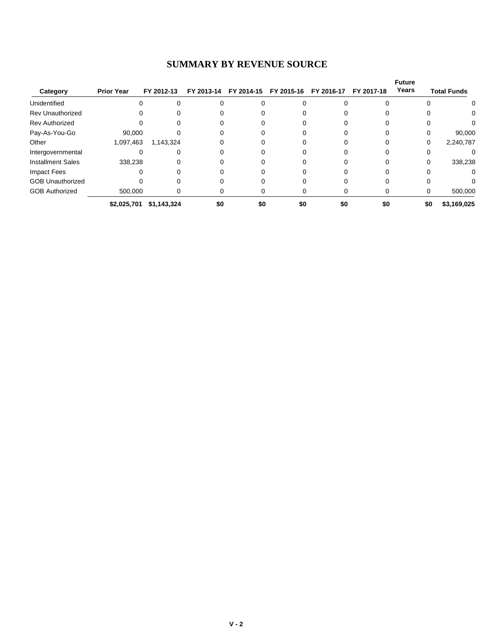| Category                 | <b>Prior Year</b> | FY 2012-13  | FY 2013-14 | FY 2014-15 | FY 2015-16 | FY 2016-17 | FY 2017-18 | <b>Future</b><br>Years |     | <b>Total Funds</b> |
|--------------------------|-------------------|-------------|------------|------------|------------|------------|------------|------------------------|-----|--------------------|
| Unidentified             |                   |             |            |            |            |            |            |                        |     | 0                  |
| <b>Rev Unauthorized</b>  |                   |             |            |            |            |            |            |                        |     |                    |
| <b>Rev Authorized</b>    |                   |             |            |            |            |            |            |                        |     |                    |
| Pay-As-You-Go            | 90,000            |             |            |            |            |            |            |                        | 0   | 90,000             |
| Other                    | 1,097,463         | 1,143,324   |            |            |            |            |            |                        | 0   | 2,240,787          |
| Intergovernmental        |                   |             |            |            |            |            |            |                        |     |                    |
| <b>Installment Sales</b> | 338,238           |             |            |            |            |            |            |                        |     | 338,238            |
| <b>Impact Fees</b>       |                   |             |            |            |            |            |            |                        |     | 0                  |
| <b>GOB Unauthorized</b>  |                   |             |            |            |            |            |            |                        |     |                    |
| <b>GOB Authorized</b>    | 500.000           |             |            | O          |            |            | 0          |                        | 0   | 500,000            |
|                          | \$2,025,701       | \$1,143,324 | \$0        | \$0        | \$0        | \$0        | \$0        |                        | \$0 | \$3,169,025        |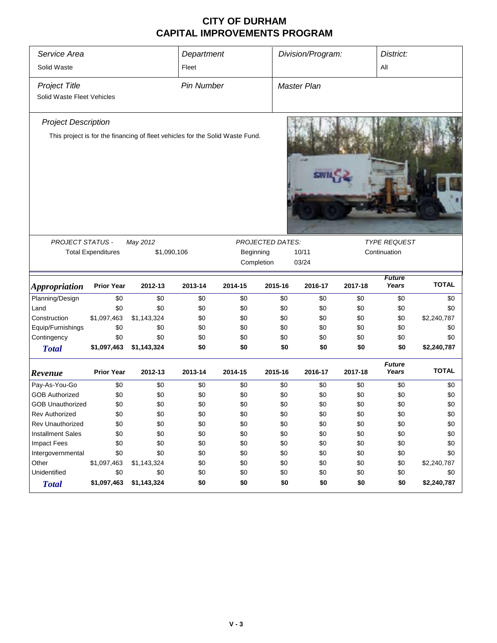### **CITY OF DURHAM CAPITAL IMPROVEMENTS PROGRAM**

| Service Area<br>Solid Waste                                                                                 |                           |             | Department<br>Fleet |           |                  | Division/Program:     |         | District:<br>All       |              |
|-------------------------------------------------------------------------------------------------------------|---------------------------|-------------|---------------------|-----------|------------------|-----------------------|---------|------------------------|--------------|
| <b>Project Title</b><br>Solid Waste Fleet Vehicles                                                          |                           |             | <b>Pin Number</b>   |           |                  | <b>Master Plan</b>    |         |                        |              |
| <b>Project Description</b><br>This project is for the financing of fleet vehicles for the Solid Waste Fund. |                           |             |                     |           |                  |                       |         |                        |              |
| PROJECT STATUS -                                                                                            |                           | May 2012    |                     |           | PROJECTED DATES: |                       |         | <b>TYPE REQUEST</b>    |              |
|                                                                                                             | <b>Total Expenditures</b> | \$1,090,106 |                     | Beginning |                  | 10/11<br>Continuation |         |                        |              |
|                                                                                                             |                           |             | Completion          | 03/24     |                  |                       |         |                        |              |
| <b>Appropriation</b>                                                                                        | <b>Prior Year</b>         | 2012-13     | 2013-14             | 2014-15   | 2015-16          | 2016-17               | 2017-18 | <b>Future</b><br>Years | <b>TOTAL</b> |
| Planning/Design                                                                                             | \$0                       | \$0         | \$0                 | \$0       | \$0              | \$0                   | \$0     | \$0                    | \$0          |
| Land                                                                                                        | \$0                       | \$0         | \$0                 | \$0       | \$0              | \$0                   | \$0     | \$0                    | \$0          |
| Construction                                                                                                | \$1,097,463               | \$1,143,324 | \$0                 | \$0       | \$0              | \$0                   | \$0     | \$0                    | \$2,240,787  |
| Equip/Furnishings                                                                                           | \$0                       | \$0         | \$0                 | \$0       | \$0              | \$0                   | \$0     | \$0                    | \$0          |
| Contingency                                                                                                 | \$0                       | \$0         | \$0                 | \$0       | \$0              | \$0                   | \$0     | \$0                    | \$0          |
| <b>Total</b>                                                                                                | \$1,097,463               | \$1,143,324 | \$0                 | \$0       | \$0              | \$0                   | \$0     | \$0                    | \$2,240,787  |
| Revenue                                                                                                     | <b>Prior Year</b>         | 2012-13     | 2013-14             | 2014-15   | 2015-16          | 2016-17               | 2017-18 | <b>Future</b><br>Years | <b>TOTAL</b> |
| Pay-As-You-Go                                                                                               | \$0                       | \$0         | \$0                 | \$0       | \$0              | \$0                   | \$0     | \$0                    | \$0          |
| <b>GOB Authorized</b>                                                                                       | \$0                       | \$0         | \$0                 | \$0       | \$0              | \$0                   | \$0     | \$0                    | \$0          |
| <b>GOB Unauthorized</b>                                                                                     | \$0                       | \$0         | \$0                 | \$0       | \$0              | \$0                   | \$0     | \$0                    | \$0          |
| Rev Authorized                                                                                              | \$0                       | \$0         | \$0                 | \$0       | \$0              | \$0                   | \$0     | \$0                    | \$0          |
| Rev Unauthorized                                                                                            | \$0                       | \$0         | \$0                 | \$0       | \$0              | \$0                   | \$0     | \$0                    | \$0          |
| <b>Installment Sales</b>                                                                                    | \$0                       | \$0         | \$0                 | \$0       | \$0              | \$0                   | \$0     | \$0                    | \$0          |
| Impact Fees                                                                                                 | \$0                       | \$0         | \$0                 | \$0       | \$0              | \$0                   | \$0     | \$0                    | \$0          |
| Intergovernmental                                                                                           | \$0                       | \$0         | \$0                 | \$0       | \$0              | \$0                   | \$0     | \$0                    | \$0          |
| Other                                                                                                       | \$1,097,463               | \$1,143,324 | \$0                 | \$0       | \$0              | \$0                   | \$0     | \$0                    | \$2,240,787  |
| Unidentified                                                                                                |                           |             |                     |           |                  |                       |         |                        |              |
|                                                                                                             | \$0                       | \$0         | \$0                 | \$0       | \$0              | \$0                   | \$0     | \$0                    | \$0          |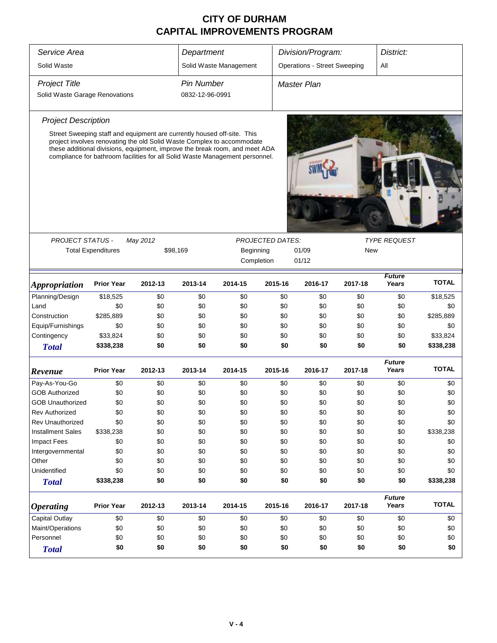## **CITY OF DURHAM CAPITAL IMPROVEMENTS PROGRAM**

| Service Area                   |                           |          | Department      |                                                                                                                                                                                                                                       |                         | Division/Program:                   |         | District:              |              |
|--------------------------------|---------------------------|----------|-----------------|---------------------------------------------------------------------------------------------------------------------------------------------------------------------------------------------------------------------------------------|-------------------------|-------------------------------------|---------|------------------------|--------------|
| Solid Waste                    |                           |          |                 | Solid Waste Management                                                                                                                                                                                                                |                         | <b>Operations - Street Sweeping</b> |         | All                    |              |
| <b>Project Title</b>           | Pin Number                |          |                 | <b>Master Plan</b>                                                                                                                                                                                                                    |                         |                                     |         |                        |              |
| Solid Waste Garage Renovations |                           |          | 0832-12-96-0991 |                                                                                                                                                                                                                                       |                         |                                     |         |                        |              |
| <b>Project Description</b>     |                           |          |                 |                                                                                                                                                                                                                                       |                         |                                     |         |                        |              |
|                                |                           |          |                 | Street Sweeping staff and equipment are currently housed off-site. This                                                                                                                                                               |                         |                                     |         |                        |              |
|                                |                           |          |                 | project involves renovating the old Solid Waste Complex to accommodate<br>these additional divisions, equipment, improve the break room, and meet ADA<br>compliance for bathroom facilities for all Solid Waste Management personnel. |                         |                                     |         |                        |              |
|                                |                           |          |                 |                                                                                                                                                                                                                                       |                         |                                     |         |                        |              |
| <b>PROJECT STATUS -</b>        |                           | May 2012 |                 |                                                                                                                                                                                                                                       | <b>PROJECTED DATES:</b> |                                     |         | <b>TYPE REQUEST</b>    |              |
|                                | <b>Total Expenditures</b> |          | \$98,169        | Beginning                                                                                                                                                                                                                             |                         | 01/09                               | New     |                        |              |
|                                |                           |          |                 | Completion                                                                                                                                                                                                                            |                         | 01/12                               |         |                        |              |
| <b>Appropriation</b>           | <b>Prior Year</b>         | 2012-13  | 2013-14         | 2014-15                                                                                                                                                                                                                               | 2015-16                 | 2016-17                             | 2017-18 | <b>Future</b><br>Years | <b>TOTAL</b> |
| Planning/Design                | \$18,525                  | \$0      | \$0             | \$0                                                                                                                                                                                                                                   | \$0                     | \$0                                 | \$0     | \$0                    | \$18,525     |
| Land                           | \$0                       | \$0      | \$0             | \$0                                                                                                                                                                                                                                   | \$0                     | \$0                                 | \$0     | \$0                    | \$0          |
| Construction                   | \$285,889                 | \$0      | \$0             | \$0                                                                                                                                                                                                                                   | \$0                     | \$0                                 | \$0     | \$0                    | \$285,889    |
| Equip/Furnishings              | \$0                       | \$0      | \$0             | \$0                                                                                                                                                                                                                                   | \$0                     | \$0                                 | \$0     | \$0                    | \$0          |
| Contingency                    | \$33,824                  | \$0      | \$0             | \$0                                                                                                                                                                                                                                   | \$0                     | \$0                                 | \$0     | \$0                    | \$33,824     |
| <b>Total</b>                   | \$338,238                 | \$0      | \$0             | \$0                                                                                                                                                                                                                                   | \$0                     | \$0                                 | \$0     | \$0                    | \$338,238    |
| Revenue                        | <b>Prior Year</b>         | 2012-13  | 2013-14         | 2014-15                                                                                                                                                                                                                               | 2015-16                 | 2016-17                             | 2017-18 | <b>Future</b><br>Years | <b>TOTAL</b> |
| Pay-As-You-Go                  | \$0                       | \$0      | \$0             | \$0                                                                                                                                                                                                                                   | \$0                     | \$0                                 | \$0     | \$0                    | \$0          |
| <b>GOB Authorized</b>          | \$0                       | \$0      | \$0             | \$0                                                                                                                                                                                                                                   | \$0                     | \$0                                 | \$0     | \$0                    | \$0          |
| <b>GOB Unauthorized</b>        | \$0                       | \$0      | \$0             | \$0                                                                                                                                                                                                                                   | \$0                     | \$0                                 | \$0     | \$0                    | \$0          |
| <b>Rev Authorized</b>          | \$0                       | \$0      | \$0             | \$0                                                                                                                                                                                                                                   | \$0                     | \$0                                 | \$0     | \$0                    | \$0          |
| <b>Rev Unauthorized</b>        | \$0                       | \$0      | \$0             | \$0                                                                                                                                                                                                                                   | \$0                     | \$0                                 | \$0     | \$0                    | \$0          |
| <b>Installment Sales</b>       | \$338,238                 | \$0      | \$0             | \$0                                                                                                                                                                                                                                   | \$0                     | \$0                                 | \$0     | \$0                    | \$338,238    |
| <b>Impact Fees</b>             | \$0                       | \$0      | \$0             | \$0                                                                                                                                                                                                                                   | \$0                     | \$0                                 | \$0     | \$0                    | \$0          |
| Intergovernmental              | \$0                       | \$0      | \$0             | \$0                                                                                                                                                                                                                                   | \$0                     | \$0                                 | \$0     | \$0                    | \$0          |
| Other                          | \$0                       | \$0      | \$0             | \$0                                                                                                                                                                                                                                   | \$0                     | \$0                                 | \$0     | \$0                    | \$0          |
| Unidentified                   | \$0                       | \$0      | \$0             | \$0                                                                                                                                                                                                                                   | \$0                     | \$0                                 | \$0     | \$0                    | \$0          |
| <b>Total</b>                   | \$338,238                 | \$0      | \$0             | \$0                                                                                                                                                                                                                                   | \$0                     | \$0                                 | \$0     | \$0                    | \$338,238    |
| <b>Operating</b>               | <b>Prior Year</b>         | 2012-13  | 2013-14         | 2014-15                                                                                                                                                                                                                               | 2015-16                 | 2016-17                             | 2017-18 | <b>Future</b><br>Years | <b>TOTAL</b> |
| Capital Outlay                 | \$0                       | \$0      | \$0             | \$0                                                                                                                                                                                                                                   | \$0                     | \$0                                 | \$0     | \$0                    | \$0          |
| Maint/Operations               | \$0                       | \$0      | \$0             | \$0                                                                                                                                                                                                                                   | \$0                     | \$0                                 | \$0     | \$0                    | \$0          |
| Personnel                      | \$0                       | \$0      | \$0             | \$0                                                                                                                                                                                                                                   | \$0                     | \$0                                 | \$0     | \$0                    | \$0          |
| <b>Total</b>                   | \$0                       | \$0      | \$0             | \$0                                                                                                                                                                                                                                   | \$0                     | \$0                                 | \$0     | \$0                    | \$0          |